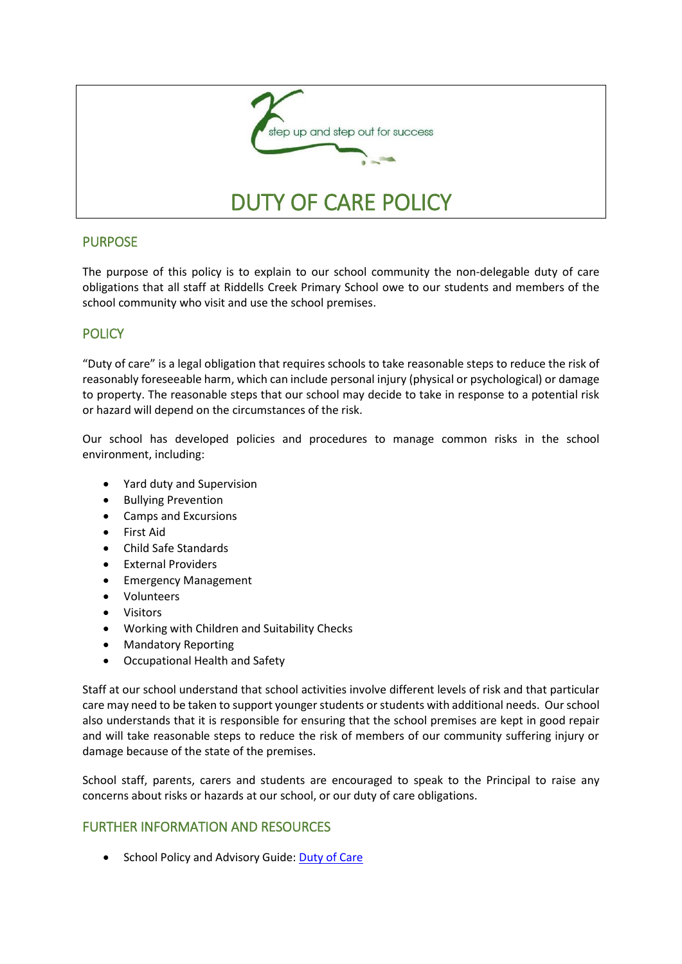

## PURPOSE

The purpose of this policy is to explain to our school community the non-delegable duty of care obligations that all staff at Riddells Creek Primary School owe to our students and members of the school community who visit and use the school premises.

## **POLICY**

"Duty of care" is a legal obligation that requires schools to take reasonable steps to reduce the risk of reasonably foreseeable harm, which can include personal injury (physical or psychological) or damage to property. The reasonable steps that our school may decide to take in response to a potential risk or hazard will depend on the circumstances of the risk.

Our school has developed policies and procedures to manage common risks in the school environment, including:

- Yard duty and Supervision
- Bullying Prevention
- Camps and Excursions
- First Aid
- Child Safe Standards
- External Providers
- Emergency Management
- Volunteers
- Visitors
- Working with Children and Suitability Checks
- Mandatory Reporting
- Occupational Health and Safety

Staff at our school understand that school activities involve different levels of risk and that particular care may need to be taken to support younger students or students with additional needs. Our school also understands that it is responsible for ensuring that the school premises are kept in good repair and will take reasonable steps to reduce the risk of members of our community suffering injury or damage because of the state of the premises.

School staff, parents, carers and students are encouraged to speak to the Principal to raise any concerns about risks or hazards at our school, or our duty of care obligations.

## FURTHER INFORMATION AND RESOURCES

School Policy and Advisory Guide: [Duty of Care](http://www.education.vic.gov.au/school/principals/spag/safety/Pages/dutyofcare.aspx)